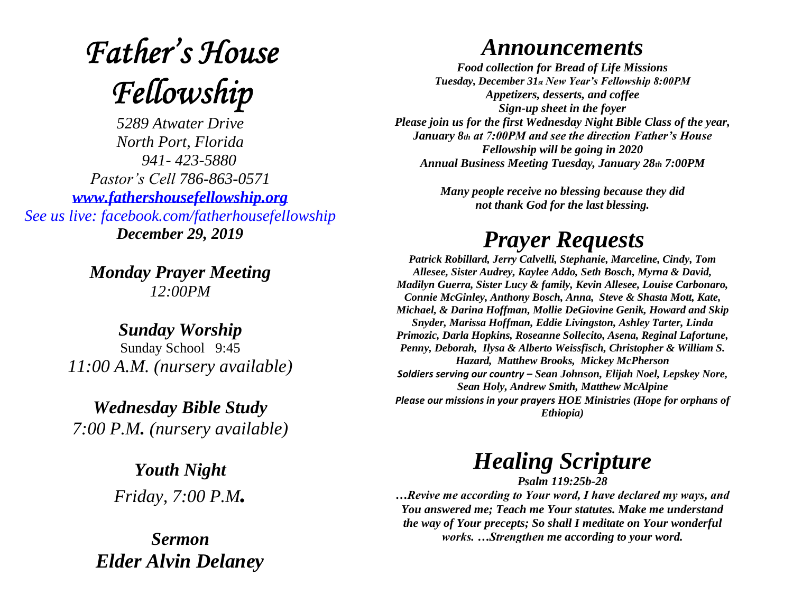# **Father's House** Fellowship

*5289 Atwater Drive North Port, Florida 941- 423-5880 Pastor's Cell 786-863-0571 [www.fathershousefellowship.org](http://www.fathershousefellowship.org/) See us live: facebook.com/fatherhousefellowship December 29, 2019*

> *Monday Prayer Meeting 12:00PM*

*Sunday Worship* Sunday School 9:45 *11:00 A.M. (nursery available)*

*Wednesday Bible Study 7:00 P.M. (nursery available)*

> *Youth Night Friday, 7:00 P.M.*

*Sermon Elder Alvin Delaney*

#### *Announcements*

*Food collection for Bread of Life Missions Tuesday, December 31st New Year's Fellowship 8:00PM Appetizers, desserts, and coffee Sign-up sheet in the foyer Please join us for the first Wednesday Night Bible Class of the year, January 8th at 7:00PM and see the direction Father's House Fellowship will be going in 2020 Annual Business Meeting Tuesday, January 28th 7:00PM*

> *Many people receive no blessing because they did not thank God for the last blessing.*

## *Prayer Requests*

*Patrick Robillard, Jerry Calvelli, Stephanie, Marceline, Cindy, Tom Allesee, Sister Audrey, Kaylee Addo, Seth Bosch, Myrna & David, Madilyn Guerra, Sister Lucy & family, Kevin Allesee, Louise Carbonaro, Connie McGinley, Anthony Bosch, Anna, Steve & Shasta Mott, Kate, Michael, & Darina Hoffman, Mollie DeGiovine Genik, Howard and Skip Snyder, Marissa Hoffman, Eddie Livingston, Ashley Tarter, Linda Primozic, Darla Hopkins, Roseanne Sollecito, Asena, Reginal Lafortune, Penny, Deborah, Ilysa & Alberto Weissfisch, Christopher & William S. Hazard, Matthew Brooks, Mickey McPherson Soldiers serving our country – Sean Johnson, Elijah Noel, Lepskey Nore, Sean Holy, Andrew Smith, Matthew McAlpine Please our missions in your prayers HOE Ministries (Hope for orphans of Ethiopia)*

### *Healing Scripture*

*Psalm 119:25b-28*

*…Revive me according to Your word, I have declared my ways, and You answered me; Teach me Your statutes. Make me understand the way of Your precepts; So shall I meditate on Your wonderful works. …Strengthen me according to your word.*